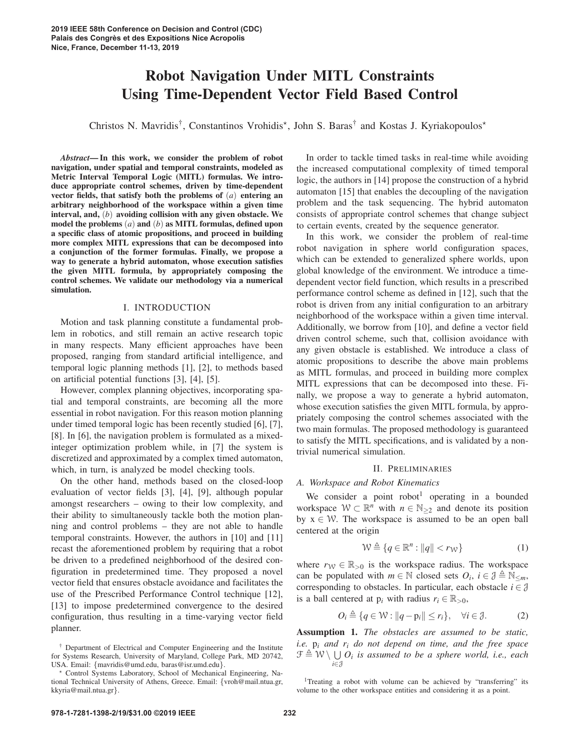# Robot Navigation Under MITL Constraints Using Time-Dependent Vector Field Based Control

Christos N. Mavridis<sup>†</sup>, Constantinos Vrohidis\*, John S. Baras<sup>†</sup> and Kostas J. Kyriakopoulos\*

*Abstract*— In this work, we consider the problem of robot navigation, under spatial and temporal constraints, modeled as Metric Interval Temporal Logic (MITL) formulas. We introduce appropriate control schemes, driven by time-dependent vector fields, that satisfy both the problems of (*a*) entering an arbitrary neighborhood of the workspace within a given time interval, and, (*b*) avoiding collision with any given obstacle. We model the problems (*a*) and (*b*) as MITL formulas, defined upon a specific class of atomic propositions, and proceed in building more complex MITL expressions that can be decomposed into a conjunction of the former formulas. Finally, we propose a way to generate a hybrid automaton, whose execution satisfies the given MITL formula, by appropriately composing the control schemes. We validate our methodology via a numerical simulation.

## I. INTRODUCTION

Motion and task planning constitute a fundamental problem in robotics, and still remain an active research topic in many respects. Many efficient approaches have been proposed, ranging from standard artificial intelligence, and temporal logic planning methods [1], [2], to methods based on artificial potential functions [3], [4], [5].

However, complex planning objectives, incorporating spatial and temporal constraints, are becoming all the more essential in robot navigation. For this reason motion planning under timed temporal logic has been recently studied [6], [7], [8]. In [6], the navigation problem is formulated as a mixedinteger optimization problem while, in [7] the system is discretized and approximated by a complex timed automaton, which, in turn, is analyzed be model checking tools.

On the other hand, methods based on the closed-loop evaluation of vector fields [3], [4], [9], although popular amongst researchers – owing to their low complexity, and their ability to simultaneously tackle both the motion planning and control problems – they are not able to handle temporal constraints. However, the authors in [10] and [11] recast the aforementioned problem by requiring that a robot be driven to a predefined neighborhood of the desired configuration in predetermined time. They proposed a novel vector field that ensures obstacle avoidance and facilitates the use of the Prescribed Performance Control technique [12], [13] to impose predetermined convergence to the desired configuration, thus resulting in a time-varying vector field planner.

In order to tackle timed tasks in real-time while avoiding the increased computational complexity of timed temporal logic, the authors in [14] propose the construction of a hybrid automaton [15] that enables the decoupling of the navigation problem and the task sequencing. The hybrid automaton consists of appropriate control schemes that change subject to certain events, created by the sequence generator.

In this work, we consider the problem of real-time robot navigation in sphere world configuration spaces, which can be extended to generalized sphere worlds, upon global knowledge of the environment. We introduce a timedependent vector field function, which results in a prescribed performance control scheme as defined in [12], such that the robot is driven from any initial configuration to an arbitrary neighborhood of the workspace within a given time interval. Additionally, we borrow from [10], and define a vector field driven control scheme, such that, collision avoidance with any given obstacle is established. We introduce a class of atomic propositions to describe the above main problems as MITL formulas, and proceed in building more complex MITL expressions that can be decomposed into these. Finally, we propose a way to generate a hybrid automaton, whose execution satisfies the given MITL formula, by appropriately composing the control schemes associated with the two main formulas. The proposed methodology is guaranteed to satisfy the MITL specifications, and is validated by a nontrivial numerical simulation.

#### II. PRELIMINARIES

# *A. Workspace and Robot Kinematics*

We consider a point robot<sup>1</sup> operating in a bounded workspace  $W \subset \mathbb{R}^n$  with  $n \in \mathbb{N}_{\geq 2}$  and denote its position by  $x \in W$ . The workspace is assumed to be an open ball centered at the origin

$$
\mathcal{W} \triangleq \{q \in \mathbb{R}^n : ||q|| < r_{\mathcal{W}}\} \tag{1}
$$

where  $r_W \in \mathbb{R}_{>0}$  is the workspace radius. The workspace can be populated with  $m \in \mathbb{N}$  closed sets  $O_i$ ,  $i \in \mathcal{J} \triangleq \mathbb{N}_{\leq m}$ , corresponding to obstacles. In particular, each obstacle  $i \in \mathcal{J}$ is a ball centered at  $p_i$  with radius  $r_i \in \mathbb{R}_{>0}$ ,

$$
O_i \triangleq \{q \in \mathcal{W} : ||q - p_i|| \le r_i\}, \quad \forall i \in \mathcal{J}.
$$
 (2)

Assumption 1. *The obstacles are assumed to be static, i.e.* p*<sup>i</sup> and ri do not depend on time, and the free space*  $\mathcal{F} \triangleq \mathcal{W} \setminus \bigcup_{i \in \mathcal{I}} O_i$  is assumed to be a sphere world, i.e., each *i*∈J

<sup>†</sup> Department of Electrical and Computer Engineering and the Institute for Systems Research, University of Maryland, College Park, MD 20742, USA. Email: {mavridis@umd.edu, baras@isr.umd.edu}.

Control Systems Laboratory, School of Mechanical Engineering, National Technical University of Athens, Greece. Email: {vroh@mail.ntua.gr, kkyria@mail.ntua.gr}.

<sup>&</sup>lt;sup>1</sup>Treating a robot with volume can be achieved by "transferring" its volume to the other workspace entities and considering it as a point.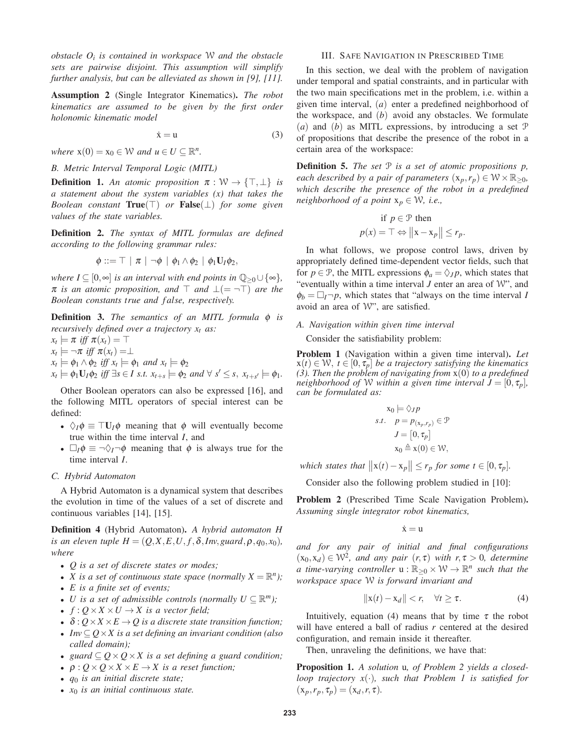*obstacle Oi is contained in workspace* W *and the obstacle sets are pairwise disjoint. This assumption will simplify further analysis, but can be alleviated as shown in [9], [11].*

Assumption 2 (Single Integrator Kinematics). *The robot kinematics are assumed to be given by the first order holonomic kinematic model*

$$
\dot{\mathbf{x}} = \mathbf{u} \tag{3}
$$

*where*  $x(0) = x_0 \in \mathcal{W}$  *and*  $u \in U \subseteq \mathbb{R}^n$ .

*B. Metric Interval Temporal Logic (MITL)*

**Definition 1.** An atomic proposition  $\pi : \mathcal{W} \to {\top, \bot}$  is *a statement about the system variables (x) that takes the Boolean constant* True( ) *or* False(⊥) *for some given values of the state variables.*

Definition 2. *The syntax of MITL formulas are defined according to the following grammar rules:*

$$
\phi ::= \top \mid \pi \mid \neg \phi \mid \phi_1 \wedge \phi_2 \mid \phi_1 \mathbf{U}_I \phi_2,
$$

*where*  $I \subseteq [0, \infty]$  *is an interval with end points in*  $\mathbb{O}_{\geq 0} \cup \{\infty\}$ ,  $\pi$  *is an atomic proposition, and*  $\top$  *and*  $\bot (= \neg \top)$  *are the Boolean constants true and f alse, respectively.*

Definition 3. *The semantics of an MITL formula* φ *is recursively defined over a trajectory*  $x_t$  *as:* 

 $x_t \models \pi \text{ iff } \pi(x_t) = \top$  $x_t \models \neg \pi \text{ iff } \pi(x_t) = \perp$  $x_t \models \phi_1 \land \phi_2$  *iff*  $x_t \models \phi_1$  *and*  $x_t \models \phi_2$  $x_t \models \phi_1 \mathbf{U}_I \phi_2$  *iff*  $\exists s \in I$  *s.t.*  $x_{t+s} \models \phi_2$  *and*  $\forall s' \leq s$ ,  $x_{t+s'} \models \phi_1$ .

Other Boolean operators can also be expressed [16], and the following MITL operators of special interest can be defined:

- $\Diamond_I \phi \equiv \top U_I \phi$  meaning that  $\phi$  will eventually become true within the time interval *I*, and
- $\Box_I \phi \equiv \neg \Diamond_I \neg \phi$  meaning that  $\phi$  is always true for the time interval *I*.

#### *C. Hybrid Automaton*

A Hybrid Automaton is a dynamical system that describes the evolution in time of the values of a set of discrete and continuous variables [14], [15].

Definition 4 (Hybrid Automaton). *A hybrid automaton H is an eleven tuple H* =  $(Q, X, E, U, f, \delta, Inv, guard, \rho, q_0, x_0)$ *, where*

- *Q is a set of discrete states or modes;*
- *X* is a set of continuous state space (normally  $X = \mathbb{R}^n$ );
- *E is a finite set of events;*
- *U* is a set of admissible controls (normally  $U \subseteq \mathbb{R}^m$ );
- $f: Q \times X \times U \rightarrow X$  *is a vector field;*
- $\delta$  :  $Q \times X \times E \rightarrow Q$  is a discrete state transition function;
- *Inv* ⊆ *Q*×*X is a set defining an invariant condition (also called domain);*
- guard  $\subseteq Q \times Q \times X$  is a set defining a guard condition;
- $\rho: Q \times Q \times X \times E \rightarrow X$  *is a reset function;*
- *q*<sup>0</sup> *is an initial discrete state;*
- *x*<sup>0</sup> *is an initial continuous state.*

# III. SAFE NAVIGATION IN PRESCRIBED TIME

In this section, we deal with the problem of navigation under temporal and spatial constraints, and in particular with the two main specifications met in the problem, i.e. within a given time interval, (*a*) enter a predefined neighborhood of the workspace, and (*b*) avoid any obstacles. We formulate (*a*) and (*b*) as MITL expressions, by introducing a set P of propositions that describe the presence of the robot in a certain area of the workspace:

Definition 5. *The set* P *is a set of atomic propositions p, each described by a pair of parameters*  $(x_p, r_p) \in W \times \mathbb{R}_{\geq 0}$ , *which describe the presence of the robot in a predefined neighborhood of a point*  $x_p \in \mathcal{W}$ *, i.e.,* 

if 
$$
p \in \mathcal{P}
$$
 then  

$$
p(x) = \top \Leftrightarrow ||x - x_p|| \le r_p.
$$

In what follows, we propose control laws, driven by appropriately defined time-dependent vector fields, such that for  $p \in \mathcal{P}$ , the MITL expressions  $\phi_a = \Diamond_I p$ , which states that "eventually within a time interval *J* enter an area of W", and  $\phi_b = \Box_I \neg p$ , which states that "always on the time interval *I* avoid an area of W", are satisfied.

## *A. Navigation within given time interval*

Consider the satisfiability problem:

**Problem 1** (Navigation within a given time interval). *Let*  $x(t) \in \mathcal{W}$ ,  $t \in [0, \tau_p]$  *be a trajectory satisfying the kinematics (3). Then the problem of navigating from* x(0) *to a predefined neighborhood of* W *within a given time interval*  $J = [0, \tau_p]$ *, can be formulated as:*

$$
x_0 \models \Diamond_J p
$$
  
s.t.  $p = p_{(x_p, r_p)} \in \mathcal{P}$   

$$
J = [0, \tau_p]
$$
  

$$
x_0 \triangleq x(0) \in \mathcal{W},
$$

*which states that*  $||x(t) - x_p|| \leq r_p$  *for some t* ∈ [0,  $\tau_p$ ]*.* 

Consider also the following problem studied in [10]:

Problem 2 (Prescribed Time Scale Navigation Problem). *Assuming single integrator robot kinematics,*

$$
\dot{x} = u
$$

*and for any pair of initial and final configurations*  $(x_0, x_d) \in \mathcal{W}^2$ , and any pair  $(r, \tau)$  with  $r, \tau > 0$ , determine *a time-varying controller*  $u : \mathbb{R}_{\geq 0} \times W \to \mathbb{R}^n$  *such that the workspace space* W *is forward invariant and*

$$
\|\mathbf{x}(t) - \mathbf{x}_d\| < r, \quad \forall t \ge \tau. \tag{4}
$$

Intuitively, equation (4) means that by time  $\tau$  the robot will have entered a ball of radius *r* centered at the desired configuration, and remain inside it thereafter.

Then, unraveling the definitions, we have that:

Proposition 1. *A solution* u*, of Problem 2 yields a closedloop trajectory x*(·)*, such that Problem 1 is satisfied for*  $(\mathbf{x}_p, r_p, \tau_p) = (\mathbf{x}_d, r, \tau).$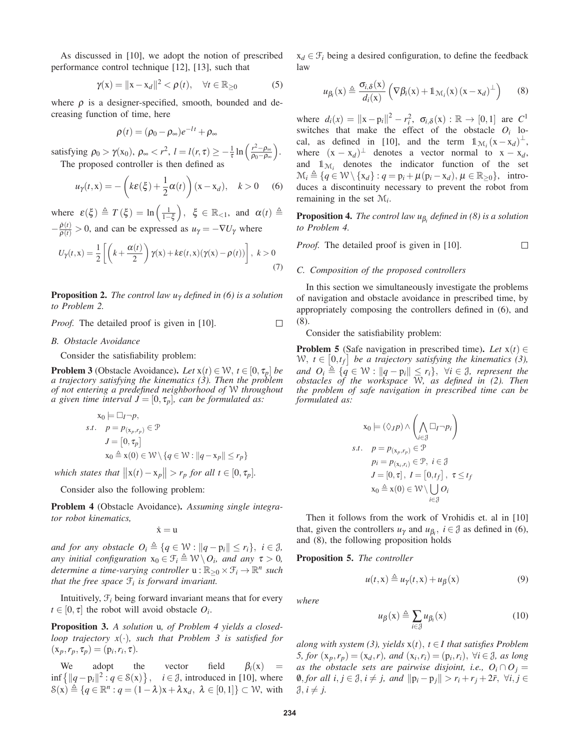As discussed in [10], we adopt the notion of prescribed performance control technique [12], [13], such that

$$
\gamma(\mathbf{x}) = \|\mathbf{x} - \mathbf{x}_d\|^2 < \rho(t), \quad \forall t \in \mathbb{R}_{\geq 0} \tag{5}
$$

where  $\rho$  is a designer-specified, smooth, bounded and decreasing function of time, here

$$
\rho(t) = (\rho_0 - \rho_\infty)e^{-lt} + \rho_\infty
$$

satisfying  $\rho_0 > \gamma(x_0)$ ,  $\rho_\infty < r^2$ ,  $l = l(r, \tau) \ge -\frac{1}{\tau} \ln \left( \frac{r^2 - \rho_\infty}{\rho_0 - \rho_\infty} \right)$  . The proposed controller is then defined as

$$
u_{\gamma}(t,x) = -\left(k\varepsilon(\xi) + \frac{1}{2}\alpha(t)\right)(x - x_d), \quad k > 0 \quad (6)
$$

where  $\varepsilon(\xi) \triangleq T(\xi) = \ln\left(\frac{1}{1-\xi}\right)$  $\Big), \xi \in \mathbb{R}_{\leq 1}, \text{ and } \alpha(t) \triangleq$  $-\frac{\dot{\rho}(t)}{\rho(t)} > 0$ , and can be expressed as  $u_{\gamma} = -\nabla U_{\gamma}$  where

$$
U_{\gamma}(t,x) = \frac{1}{2} \left[ \left( k + \frac{\alpha(t)}{2} \right) \gamma(x) + k \varepsilon(t,x) (\gamma(x) - \rho(t)) \right], \ k > 0
$$
\n(7)

Proposition 2. *The control law u*<sup>γ</sup> *defined in (6) is a solution to Problem 2.*

*Proof.* The detailed proof is given in [10].  $\Box$ 

#### *B. Obstacle Avoidance*

Consider the satisfiability problem:

**Problem 3** (Obstacle Avoidance). *Let*  $x(t) \in W$ ,  $t \in [0, \tau_p]$  *be a trajectory satisfying the kinematics (3). Then the problem of not entering a predefined neighborhood of* W *throughout a* given time interval  $J = [0, \tau_p]$ , can be formulated as:

$$
x_0 \models \Box_I \neg p,
$$
  
s.t.  $p = p_{(x_p, r_p)} \in \mathcal{P}$   

$$
J = [0, \tau_p]
$$
  

$$
x_0 \triangleq x(0) \in \mathcal{W} \setminus \{q \in \mathcal{W} : ||q - x_p|| \leq r_p\}
$$

*which states that*  $||x(t) - x_p|| > r_p$  *for all t* ∈ [0,  $\tau_p$ ]*.* 

Consider also the following problem:

Problem 4 (Obstacle Avoidance). *Assuming single integrator robot kinematics,*

$$
\dot{x}=u
$$

*and for any obstacle*  $O_i \triangleq \{q \in \mathcal{W} : ||q - p_i|| \leq r_i\}, i \in \mathcal{J}$ , *any initial configuration*  $x_0 \in \mathcal{F}_i \triangleq \mathcal{W} \setminus O_i$ *, and any*  $\tau > 0$ *, determine a time-varying controller*  $u : \mathbb{R}_{\geq 0} \times \mathcal{F}_i \to \mathbb{R}^n$  *such that the free space*  $\mathcal{F}_i$  *is forward invariant.* 

Intuitively,  $\mathcal{F}_i$  being forward invariant means that for every  $t \in [0, \tau]$  the robot will avoid obstacle  $O_i$ .

Proposition 3. *A solution* u*, of Problem 4 yields a closedloop trajectory x*(·)*, such that Problem 3 is satisfied for*  $(x_p, r_p, \tau_p) = (p_i, r_i, \tau).$ 

We adopt the vector field  $\beta_i(x)$  =  $\inf \{ ||q-p_i||^2 : q \in \mathcal{S}(x) \}, \quad i \in \mathcal{J}$ , introduced in [10], where  $S(x) \triangleq {q \in \mathbb{R}^n : q = (1 - \lambda)x + \lambda x_d, \lambda \in [0, 1]} \subset \mathcal{W}$ , with  $x_d \in \mathcal{F}_i$  being a desired configuration, to define the feedback law

$$
u_{\beta_i}(x) \triangleq \frac{\sigma_{i,\delta}(x)}{d_i(x)} \left( \nabla \beta_i(x) + \mathbb{1}_{\mathcal{M}_i}(x) (x - x_d)^\perp \right)
$$
(8)

where  $d_i(x) = ||x - p_i||^2 - r_i^2$ ,  $\sigma_{i,\delta}(x) : \mathbb{R} \to [0,1]$  are  $C^1$ switches that make the effect of the obstacle *Oi* local, as defined in [10], and the term  $1\mathcal{M}_i(x-x_d)^{\perp}$ , where  $(x - x_d)^{\perp}$  denotes a vector normal to  $x - x_d$ , and  $1\mathcal{M}_i$  denotes the indicator function of the set  $\mathcal{M}_i \triangleq \{q \in \mathcal{W} \setminus \{x_d\} : q = p_i + \mu(p_i - x_d), \mu \in \mathbb{R}_{\geq 0}\},\$ introduces a discontinuity necessary to prevent the robot from remaining in the set M*i*.

Proposition 4. *The control law u*β*<sup>i</sup> defined in (8) is a solution to Problem 4.*

*Proof.* The detailed proof is given in [10]. 
$$
\Box
$$

### *C. Composition of the proposed controllers*

In this section we simultaneously investigate the problems of navigation and obstacle avoidance in prescribed time, by appropriately composing the controllers defined in (6), and (8).

Consider the satisfiability problem:

**Problem 5** (Safe navigation in prescribed time). *Let*  $x(t) \in$  $W, t \in [0,t_f]$  be a trajectory satisfying the kinematics (3), *and*  $O_i \triangleq \{q \in \mathbb{W} : ||q - p_i|| \leq r_i\}$ ,  $\forall i \in \mathcal{J}$ , represent the obstacles of the workspace W, as defined in (2). Then *the problem of safe navigation in prescribed time can be formulated as:*

$$
x_0 \models (\Diamond_J p) \land \left(\bigwedge_{i \in \mathcal{J}} \Box_I \neg p_i\right)
$$
  
s.t.  $p = p_{(x_p, r_p)} \in \mathcal{P}$   
 $p_i = p_{(x_i, r_i)} \in \mathcal{P}, i \in \mathcal{J}$   
 $J = [0, \tau], I = [0, t_f], \tau \le t_f$   
 $x_0 \triangleq x(0) \in \mathcal{W} \setminus \bigcup_{i \in \mathcal{J}} O_i$ 

Then it follows from the work of Vrohidis et. al in [10] that, given the controllers  $u_{\gamma}$  and  $u_{\beta_i}$ ,  $i \in \mathcal{J}$  as defined in (6), and (8), the following proposition holds

Proposition 5. *The controller*

$$
u(t, \mathbf{x}) \triangleq u_{\gamma}(t, \mathbf{x}) + u_{\beta}(\mathbf{x}) \tag{9}
$$

*where*

$$
u_{\beta}(\mathbf{x}) \triangleq \sum_{i \in \mathcal{J}} u_{\beta_i}(\mathbf{x}) \tag{10}
$$

*along with system (3), yields*  $x(t)$ ,  $t \in I$  *that satisfies Problem 5, for*  $(x_p, r_p) = (x_d, r)$ *, and*  $(x_i, r_i) = (p_i, r_i)$ *,*  $\forall i \in \mathcal{J}$ *, as long as the obstacle sets are pairwise disjoint, i.e.,*  $O_i \cap O_j =$ 0, *for all*  $i, j \in \mathcal{J}, i \neq j$ , and  $||p_i - p_j|| > r_i + r_j + 2\bar{r}, \forall i, j \in$  $\beta, i \neq j$ .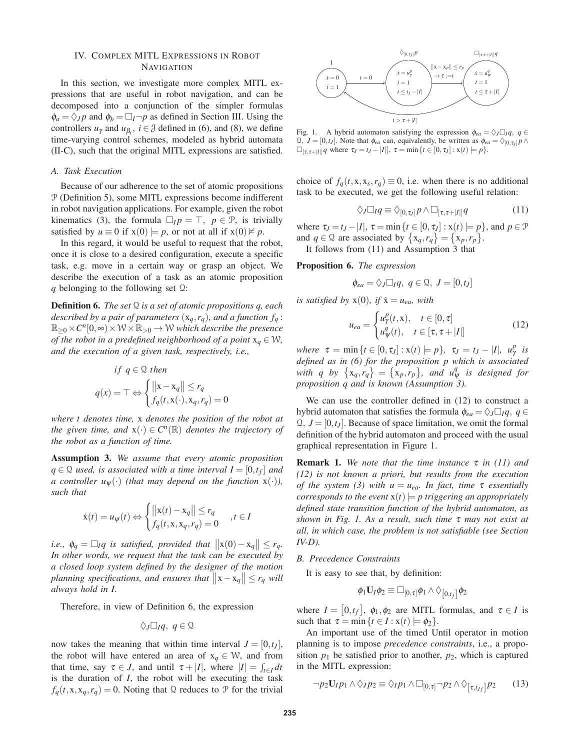# IV. COMPLEX MITL EXPRESSIONS IN ROBOT **NAVIGATION**

In this section, we investigate more complex MITL expressions that are useful in robot navigation, and can be decomposed into a conjunction of the simpler formulas  $\phi_a = \Diamond_J p$  and  $\phi_b = \Box_I \neg p$  as defined in Section III. Using the controllers  $u_{\gamma}$  and  $u_{\beta_i}$ ,  $i \in \mathcal{J}$  defined in (6), and (8), we define time-varying control schemes, modeled as hybrid automata (II-C), such that the original MITL expressions are satisfied.

## *A. Task Execution*

Because of our adherence to the set of atomic propositions P (Definition 5), some MITL expressions become indifferent in robot navigation applications. For example, given the robot kinematics (3), the formula  $\square_I p = \top$ ,  $p \in \mathcal{P}$ , is trivially satisfied by  $u \equiv 0$  if  $x(0) \models p$ , or not at all if  $x(0) \not\models p$ .

In this regard, it would be useful to request that the robot, once it is close to a desired configuration, execute a specific task, e.g. move in a certain way or grasp an object. We describe the execution of a task as an atomic proposition *q* belonging to the following set Q:

Definition 6. *The set* Q *is a set of atomic propositions q, each described by a pair of parameters*  $(x_q, r_q)$ *, and a function*  $f_q$ :  $\mathbb{R}_{\geq 0} \times C^n[0,\infty) \times \mathbb{W} \times \mathbb{R}_{\geq 0} \to \mathbb{W}$  which describe the presence *of the robot in a predefined neighborhood of a point*  $x_q \in W$ , *and the execution of a given task, respectively, i.e.,*

$$
if \ q \in \mathcal{Q} \ then
$$

$$
q(x) = \top \Leftrightarrow \begin{cases} ||x - x_q|| \le r_q \\ f_q(t, x(\cdot), x_q, r_q) = 0 \end{cases}
$$

*where t denotes time,* x *denotes the position of the robot at the given time, and*  $x(\cdot) \in C^n(\mathbb{R})$  *denotes the trajectory of the robot as a function of time.*

Assumption 3. *We assume that every atomic proposition*  $q \in \mathcal{Q}$  *used, is associated with a time interval*  $I = [0,t_f]$  *and a* controller  $u_{\psi}(\cdot)$  (that may depend on the function  $x(\cdot)$ ), *such that*

$$
\dot{\mathbf{x}}(t) = u_{\psi}(t) \Leftrightarrow \begin{cases} ||\mathbf{x}(t) - \mathbf{x}_q|| \le r_q \\ f_q(t, \mathbf{x}, \mathbf{x}_q, r_q) = 0 \end{cases}, t \in I
$$

*i.e.,*  $\phi_q = \Box_l q$  *is satisfied, provided that*  $||x(0) - x_q|| \leq r_q$ . *In other words, we request that the task can be executed by a closed loop system defined by the designer of the motion planning specifications, and ensures that*  $||x - x_q|| \le r_q$  *will always hold in I.*

Therefore, in view of Definition 6, the expression

$$
\Diamond_J \Box_I q, \ q \in \mathcal{Q}
$$

now takes the meaning that within time interval  $J = [0, t_J]$ , the robot will have entered an area of  $x_q \in W$ , and from that time, say  $\tau \in J$ , and until  $\tau + |I|$ , where  $|I| = \int_{t \in I} dt$ is the duration of *I*, the robot will be executing the task  $f_q(t, x, x_q, r_q) = 0$ . Noting that Q reduces to P for the trivial



Fig. 1. A hybrid automaton satisfying the expression  $\phi_{ea} = \Diamond_I \Box_I q$ ,  $q \in$  $Q, J = [0, t_J]$ . Note that  $\phi_{ea}$  can, equivalently, be written as  $\phi_{ea} = \Diamond_{[0, \tau_J]} p \land$  $\Box_{[\tau,\tau+|I|]}q$  where  $\tau_J = t_J - |I|$ ,  $\tau = \min\{t \in [0,\tau_J] : x(t) \models p\}.$ 

choice of  $f_q(t, x, x_s, r_q) \equiv 0$ , i.e. when there is no additional task to be executed, we get the following useful relation:

$$
\Diamond_J \Box_I q \equiv \Diamond_{[0,\tau_J]} p \land \Box_{[\tau,\tau+|I|]} q \tag{11}
$$

where  $\tau_J = t_J - |I|$ ,  $\tau = \min \{ t \in [0, \tau_J] : x(t) \models p \}$ , and  $p \in \mathcal{P}$ and  $q \in \mathcal{Q}$  are associated by  $\{x_q, r_q\} = \{x_p, r_p\}.$ 

It follows from (11) and Assumption 3 that

Proposition 6. *The expression*

$$
\phi_{ea} = \Diamond_J \Box_I q, \ q \in \mathcal{Q}, \ J = [0, t_J]
$$

*is satisfied by*  $x(0)$ *, if*  $\dot{x} = u_{ea}$ *, with* 

$$
u_{ea} = \begin{cases} u^p_\gamma(t, \mathbf{x}), & t \in [0, \tau] \\ u^q_\psi(t), & t \in [\tau, \tau + |I|] \end{cases}
$$
(12)

*where*  $\tau = \min \{ t \in [0, \tau_J] : x(t) \models p \}, \tau_J = t_J - |I|, u_\gamma^p$  *is defined as in (6) for the proposition p which is associated* with *q* by  $\{x_q, r_q\} = \{x_p, r_p\}$ , and  $u^q_\psi$  is designed for *proposition q and is known (Assumption 3).*

We can use the controller defined in (12) to construct a hybrid automaton that satisfies the formula  $\phi_{ea} = \Diamond_J \Box_I q$ ,  $q \in$  $Q, J = [0, t_J]$ . Because of space limitation, we omit the formal definition of the hybrid automaton and proceed with the usual graphical representation in Figure 1.

Remark 1. *We note that the time instance* τ *in (11) and (12) is not known a priori, but results from the execution of the system (3) with*  $u = u_{ea}$ . *In fact, time*  $\tau$  *essentially corresponds to the event*  $x(t) = p$  *triggering an appropriately defined state transition function of the hybrid automaton, as shown in Fig. 1. As a result, such time* τ *may not exist at all, in which case, the problem is not satisfiable (see Section IV-D).*

#### *B. Precedence Constraints*

It is easy to see that, by definition:

$$
\phi_1 \mathbf{U}_I \phi_2 \equiv \Box_{[0,\tau]} \phi_1 \wedge \Diamond_{[0,t_f]} \phi_2
$$

where  $I = [0, t_f]$ ,  $\phi_1, \phi_2$  are MITL formulas, and  $\tau \in I$  is such that  $\tau = \min\{t \in I : x(t) \models \phi_2\}.$ 

An important use of the timed Until operator in motion planning is to impose *precedence constraints*, i.e., a proposition  $p_1$  be satisfied prior to another,  $p_2$ , which is captured in the MITL expression:

$$
\neg p_2 \mathbf{U}_I p_1 \wedge \Diamond_J p_2 \equiv \Diamond_I p_1 \wedge \Box_{[0,\tau]} \neg p_2 \wedge \Diamond_{[\tau,t_{Jf}]} p_2 \qquad (13)
$$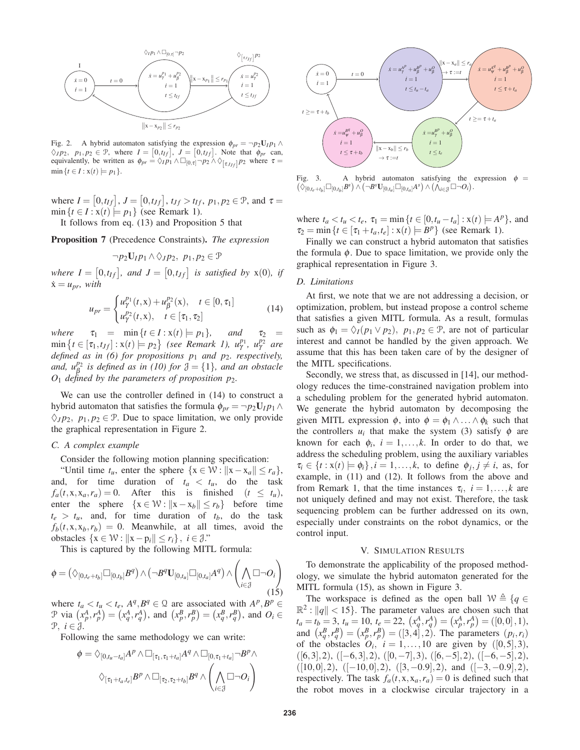

Fig. 2. A hybrid automaton satisfying the expression  $\phi_{pr} = \neg p_2 \mathbf{U}_l p_1 \wedge$  $\Diamond_J p_2, p_1, p_2 \in \mathcal{P}$ , where  $I = [0, t_{If}], J = [0, t_{If}].$  Note that  $\phi_{pr}$  can, equivalently, be written as  $\phi_{pr} = \Diamond_I p_1 \land \Box_{[0,\tau]} \neg p_2 \land \Diamond_{[\tau,t_{If}]} p_2$  where  $\tau =$  $\min \{t \in I : \mathbf{x}(t) \models p_1\}.$ 

where  $I = [0, t_{If}], J = [0, t_{If}], t_{If} > t_{If}, p_1, p_2 \in \mathcal{P}$ , and  $\tau =$  $\min \{t \in I : x(t) \models p_1\}$  (see Remark 1).

It follows from eq. (13) and Proposition 5 that

Proposition 7 (Precedence Constraints). *The expression*

$$
\neg p_2 \mathbf{U}_I p_1 \land \Diamond_J p_2, p_1, p_2 \in \mathcal{P}
$$

where  $I = \left[0, t_{If}\right]$ , and  $J = \left[0, t_{If}\right]$  is satisfied by  $\mathbf{x}(0)$ , if  $\dot{x} = u_{pr}$ , with

$$
u_{pr} = \begin{cases} u_{\gamma}^{p_1}(t, x) + u_{\beta}^{p_2}(x), & t \in [0, \tau_1] \\ u_{\gamma}^{p_2}(t, x), & t \in [\tau_1, \tau_2] \end{cases}
$$
(14)

*where*  $\tau_1 = \min\{t \in I : x(t) \models p_1\}$ , and  $\tau_2 =$  $\min \left\{ t \in [\tau_1, t_{Jf}] : \mathbf{x}(t) \models p_2 \right\}$  (see Remark 1),  $u_\gamma^{p_1}$ ,  $u_\gamma^{p_2}$  are *defined as in (6) for propositions p*<sup>1</sup> *and p*2*. respectively,* and,  $u_{\beta}^{p_2}$  *is defined as in (10) for*  $\mathcal{J} = \{1\}$ *, and an obstacle O*<sup>1</sup> *defined by the parameters of proposition p*2*.*

We can use the controller defined in (14) to construct a hybrid automaton that satisfies the formula  $\phi_{pr} = \neg p_2 \mathbf{U}_I p_1 \wedge$  $\Diamond_{I} p_{2}, p_{1}, p_{2} \in \mathcal{P}$ . Due to space limitation, we only provide the graphical representation in Figure 2.

## *C. A complex example*

Consider the following motion planning specification:

"Until time  $t_u$ , enter the sphere  $\{x \in \mathcal{W} : ||x - x_a|| \le r_a\},\$ and, for time duration of  $t_a < t_u$ , do the task  $f_a(t, x, x_a, r_a) = 0$ . After this is finished  $(t \leq t_u)$ , enter the sphere  $\{x \in \mathcal{W} : ||x - x_b|| \le r_b\}$  before time  $t_e > t_u$ , and, for time duration of  $t_b$ , do the task  $f_b(t, x, x_b, r_b) = 0$ . Meanwhile, at all times, avoid the obstacles  $\{x \in \mathcal{W} : ||x - p_i|| \leq r_i\}, i \in \mathcal{J}$ ."

This is captured by the following MITL formula:

$$
\phi = \left(\Diamond_{[0,t_e+t_b]} \Box_{[0,t_b]} B^q\right) \land \left(\neg B^q \mathbf{U}_{[0,t_u]} \Box_{[0,t_a]} A^q\right) \land \left(\bigwedge_{i \in \mathcal{J}} \Box \neg O_i\right) \tag{15}
$$

where  $t_a < t_u < t_e$ ,  $A^q$ ,  $B^q \in \mathcal{Q}$  are associated with  $A^p$ ,  $B^p \in \mathcal{Q}$ P via  $(x_p^A, r_p^A) = (x_q^A, r_q^A)$ , and  $(x_p^B, r_p^B) = (x_q^B, r_q^B)$ , and  $O_i \in$ P, *i* ∈ J.

Following the same methodology we can write:

$$
\phi = \Diamond_{[0,t_u-t_a]} A^P \wedge \Box_{[\tau_1,\tau_1+t_a]} A^q \wedge \Box_{[0,\tau_1+t_a]} \neg B^P \wedge
$$

$$
\Diamond_{[\tau_1+t_a,t_e]} B^P \wedge \Box_{[\tau_2,\tau_2+t_b]} B^q \wedge \left(\bigwedge_{i \in \mathcal{J}} \Box \neg O_i\right)
$$



Fig. 3. A hybrid automaton satisfying the expression  $\phi =$  $(\overline{\Diamond}_{[0,t_e+t_b]} \Box_{[0,t_b]} B^s) \land (\neg B^s \mathbf{U}_{[0,t_u]} \Box_{[0,t_a]} A^s) \land (\overline{\Diamond}_{i \in \mathcal{J}} \Box \neg O_i).$ 

where  $t_a < t_u < t_e$ ,  $\tau_1 = \min \{ t \in [0, t_u - t_a] : x(t) \models A^p \}$ , and  $\tau_2 = \min\{t \in [\tau_1 + t_a, t_e] : x(t) \models B^p\}$  (see Remark 1).

Finally we can construct a hybrid automaton that satisfies the formula  $\phi$ . Due to space limitation, we provide only the graphical representation in Figure 3.

#### *D. Limitations*

At first, we note that we are not addressing a decision, or optimization, problem, but instead propose a control scheme that satisfies a given MITL formula. As a result, formulas such as  $\phi_1 = \Diamond_I(p_1 \lor p_2), p_1, p_2 \in \mathcal{P}$ , are not of particular interest and cannot be handled by the given approach. We assume that this has been taken care of by the designer of the MITL specifications.

Secondly, we stress that, as discussed in [14], our methodology reduces the time-constrained navigation problem into a scheduling problem for the generated hybrid automaton. We generate the hybrid automaton by decomposing the given MITL expression  $\phi$ , into  $\phi = \phi_1 \wedge \ldots \wedge \phi_k$  such that the controllers  $u_i$  that make the system (3) satisfy  $\phi$  are known for each  $\phi_i$ ,  $i = 1, ..., k$ . In order to do that, we address the scheduling problem, using the auxiliary variables  $\tau_i \in \{t : x(t) \models \phi_i\}, i = 1, \ldots, k$ , to define  $\phi_i, j \neq i$ , as, for example, in (11) and (12). It follows from the above and from Remark 1, that the time instances  $\tau_i$ ,  $i = 1, \ldots, k$  are not uniquely defined and may not exist. Therefore, the task sequencing problem can be further addressed on its own, especially under constraints on the robot dynamics, or the control input.

# V. SIMULATION RESULTS

To demonstrate the applicability of the proposed methodology, we simulate the hybrid automaton generated for the MITL formula (15), as shown in Figure 3.

The workspace is defined as the open ball  $W \triangleq \{q \in$  $\mathbb{R}^2$ :  $\|q\|$  < 15}. The parameter values are chosen such that  $t_a = t_b = 3, t_u = 10, t_e = 22, (x_q^A, r_q^A) = (x_p^A, r_p^A) = ([0, 0], 1),$ and  $(x_q^B, r_q^B) = (x_p^B, r_p^B) = (\frac{3}{4}, 2)$ . The parameters  $(p_i, r_i)$ of the obstacles  $O_i$ ,  $i = 1, \ldots, 10$  are given by  $([0,5],3)$ ,  $([6,3],2), ([-6,3],2), ([0,-7],3), ([6,-5],2), ([-6,-5],2),$  $([10,0],2), ([-10,0],2), ([3,-0.9],2), \text{ and } ([-3,-0.9],2),$ respectively. The task  $f_a(t, x, x_a, r_a) = 0$  is defined such that the robot moves in a clockwise circular trajectory in a